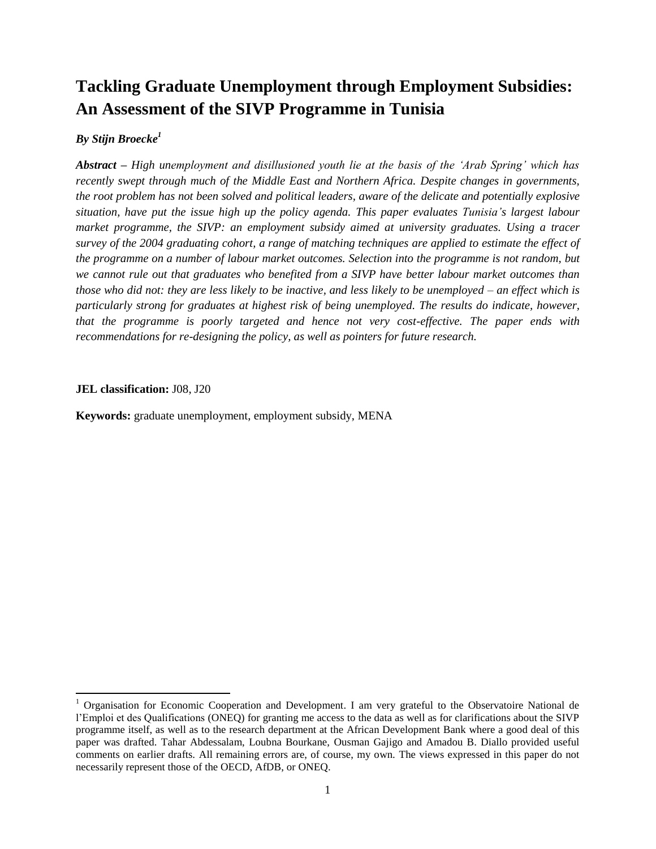# **Tackling Graduate Unemployment through Employment Subsidies: An Assessment of the SIVP Programme in Tunisia**

## *By Stijn Broecke<sup>1</sup>*

*Abstract – High unemployment and disillusioned youth lie at the basis of the 'Arab Spring' which has recently swept through much of the Middle East and Northern Africa. Despite changes in governments, the root problem has not been solved and political leaders, aware of the delicate and potentially explosive situation, have put the issue high up the policy agenda. This paper evaluates Tunisia's largest labour market programme, the SIVP: an employment subsidy aimed at university graduates. Using a tracer survey of the 2004 graduating cohort, a range of matching techniques are applied to estimate the effect of the programme on a number of labour market outcomes. Selection into the programme is not random, but we cannot rule out that graduates who benefited from a SIVP have better labour market outcomes than those who did not: they are less likely to be inactive, and less likely to be unemployed – an effect which is particularly strong for graduates at highest risk of being unemployed. The results do indicate, however, that the programme is poorly targeted and hence not very cost-effective. The paper ends with recommendations for re-designing the policy, as well as pointers for future research.*

#### **JEL classification:** J08, J20

 $\overline{a}$ 

**Keywords:** graduate unemployment, employment subsidy, MENA

<sup>&</sup>lt;sup>1</sup> Organisation for Economic Cooperation and Development. I am very grateful to the Observatoire National de l'Emploi et des Qualifications (ONEQ) for granting me access to the data as well as for clarifications about the SIVP programme itself, as well as to the research department at the African Development Bank where a good deal of this paper was drafted. Tahar Abdessalam, Loubna Bourkane, Ousman Gajigo and Amadou B. Diallo provided useful comments on earlier drafts. All remaining errors are, of course, my own. The views expressed in this paper do not necessarily represent those of the OECD, AfDB, or ONEQ.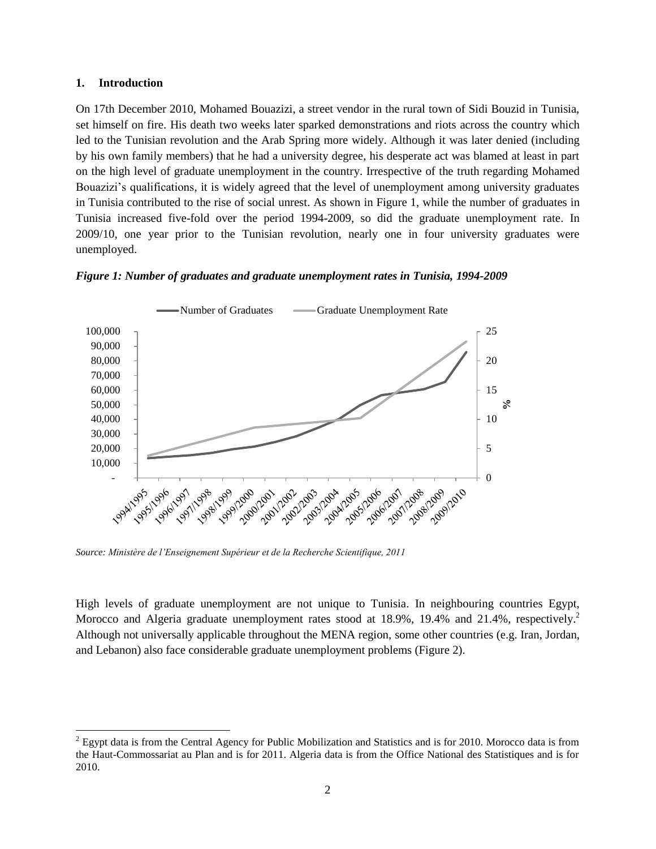#### **1. Introduction**

 $\overline{a}$ 

On 17th December 2010, Mohamed Bouazizi, a street vendor in the rural town of Sidi Bouzid in Tunisia, set himself on fire. His death two weeks later sparked demonstrations and riots across the country which led to the Tunisian revolution and the Arab Spring more widely. Although it was later denied (including by his own family members) that he had a university degree, his desperate act was blamed at least in part on the high level of graduate unemployment in the country. Irrespective of the truth regarding Mohamed Bouazizi's qualifications, it is widely agreed that the level of unemployment among university graduates in Tunisia contributed to the rise of social unrest. As shown in Figure 1, while the number of graduates in Tunisia increased five-fold over the period 1994-2009, so did the graduate unemployment rate. In 2009/10, one year prior to the Tunisian revolution, nearly one in four university graduates were unemployed.





*Source: Ministère de l'Enseignement Supérieur et de la Recherche Scientifique, 2011*

High levels of graduate unemployment are not unique to Tunisia. In neighbouring countries Egypt, Morocco and Algeria graduate unemployment rates stood at 18.9%, 19.4% and 21.4%, respectively.<sup>2</sup> Although not universally applicable throughout the MENA region, some other countries (e.g. Iran, Jordan, and Lebanon) also face considerable graduate unemployment problems (Figure 2).

<sup>&</sup>lt;sup>2</sup> Egypt data is from the Central Agency for Public Mobilization and Statistics and is for 2010. Morocco data is from the Haut-Commossariat au Plan and is for 2011. Algeria data is from the Office National des Statistiques and is for 2010.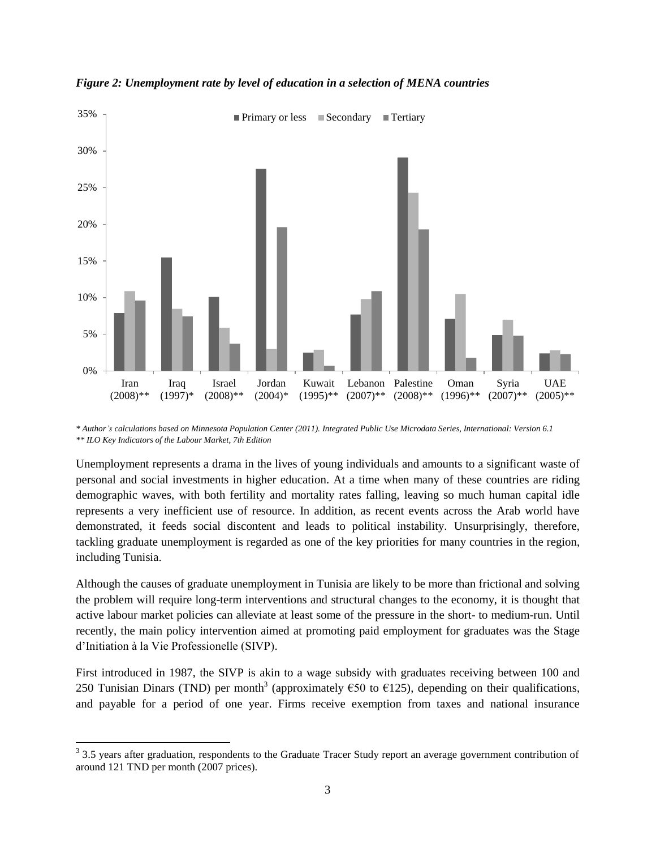

*Figure 2: Unemployment rate by level of education in a selection of MENA countries*

Unemployment represents a drama in the lives of young individuals and amounts to a significant waste of personal and social investments in higher education. At a time when many of these countries are riding demographic waves, with both fertility and mortality rates falling, leaving so much human capital idle represents a very inefficient use of resource. In addition, as recent events across the Arab world have demonstrated, it feeds social discontent and leads to political instability. Unsurprisingly, therefore, tackling graduate unemployment is regarded as one of the key priorities for many countries in the region, including Tunisia.

Although the causes of graduate unemployment in Tunisia are likely to be more than frictional and solving the problem will require long-term interventions and structural changes to the economy, it is thought that active labour market policies can alleviate at least some of the pressure in the short- to medium-run. Until recently, the main policy intervention aimed at promoting paid employment for graduates was the Stage d'Initiation à la Vie Professionelle (SIVP).

First introduced in 1987, the SIVP is akin to a wage subsidy with graduates receiving between 100 and 250 Tunisian Dinars (TND) per month<sup>3</sup> (approximately  $\epsilon$ 50 to  $\epsilon$ 125), depending on their qualifications, and payable for a period of one year. Firms receive exemption from taxes and national insurance

*<sup>\*</sup> Author's calculations based on Minnesota Population Center (2011). Integrated Public Use Microdata Series, International: Version 6.1 \*\* ILO Key Indicators of the Labour Market, 7th Edition*

<sup>&</sup>lt;sup>3</sup> 3.5 years after graduation, respondents to the Graduate Tracer Study report an average government contribution of around 121 TND per month (2007 prices).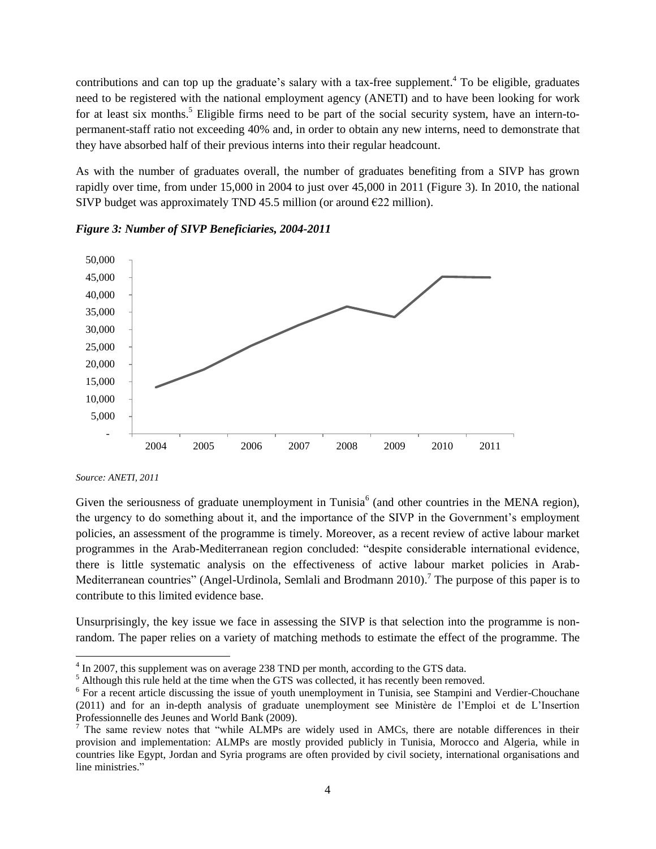contributions and can top up the graduate's salary with a tax-free supplement.<sup>4</sup> To be eligible, graduates need to be registered with the national employment agency (ANETI) and to have been looking for work for at least six months.<sup>5</sup> Eligible firms need to be part of the social security system, have an intern-topermanent-staff ratio not exceeding 40% and, in order to obtain any new interns, need to demonstrate that they have absorbed half of their previous interns into their regular headcount.

As with the number of graduates overall, the number of graduates benefiting from a SIVP has grown rapidly over time, from under 15,000 in 2004 to just over 45,000 in 2011 (Figure 3). In 2010, the national SIVP budget was approximately TND 45.5 million (or around  $E22$  million).





*Source: ANETI, 2011*

 $\overline{a}$ 

Given the seriousness of graduate unemployment in Tunisia<sup>6</sup> (and other countries in the MENA region), the urgency to do something about it, and the importance of the SIVP in the Government's employment policies, an assessment of the programme is timely. Moreover, as a recent review of active labour market programmes in the Arab-Mediterranean region concluded: "despite considerable international evidence, there is little systematic analysis on the effectiveness of active labour market policies in Arab-Mediterranean countries" (Angel-Urdinola, Semlali and Brodmann 2010).<sup>7</sup> The purpose of this paper is to contribute to this limited evidence base.

Unsurprisingly, the key issue we face in assessing the SIVP is that selection into the programme is nonrandom. The paper relies on a variety of matching methods to estimate the effect of the programme. The

<sup>&</sup>lt;sup>4</sup> In 2007, this supplement was on average 238 TND per month, according to the GTS data.

<sup>&</sup>lt;sup>5</sup> Although this rule held at the time when the GTS was collected, it has recently been removed.

<sup>&</sup>lt;sup>6</sup> For a recent article discussing the issue of youth unemployment in Tunisia, see Stampini and Verdier-Chouchane (2011) and for an in-depth analysis of graduate unemployment see Ministère de l'Emploi et de L'Insertion Professionnelle des Jeunes and World Bank (2009).

 $<sup>7</sup>$  The same review notes that "while ALMPs are widely used in AMCs, there are notable differences in their</sup> provision and implementation: ALMPs are mostly provided publicly in Tunisia, Morocco and Algeria, while in countries like Egypt, Jordan and Syria programs are often provided by civil society, international organisations and line ministries."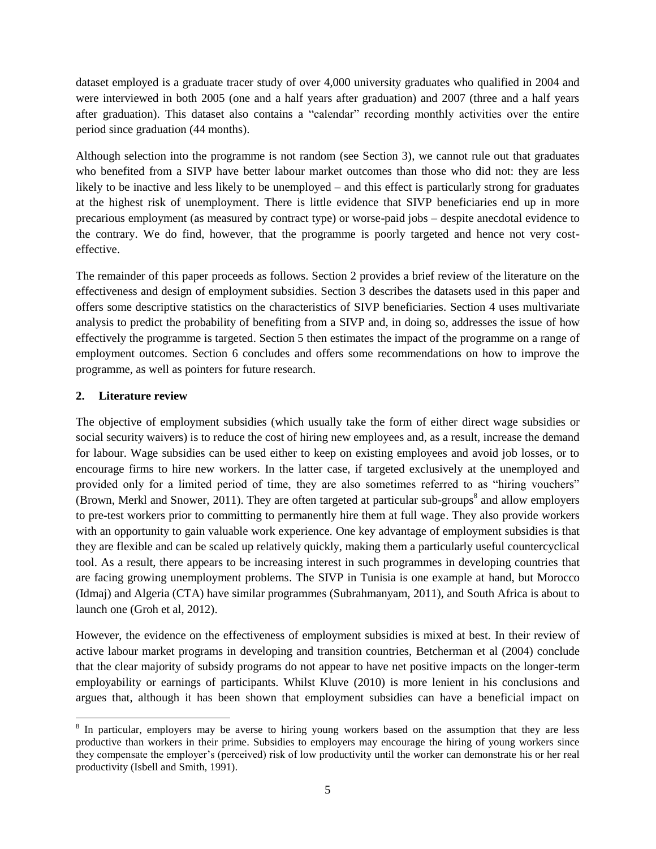dataset employed is a graduate tracer study of over 4,000 university graduates who qualified in 2004 and were interviewed in both 2005 (one and a half years after graduation) and 2007 (three and a half years after graduation). This dataset also contains a "calendar" recording monthly activities over the entire period since graduation (44 months).

Although selection into the programme is not random (see Section 3), we cannot rule out that graduates who benefited from a SIVP have better labour market outcomes than those who did not: they are less likely to be inactive and less likely to be unemployed – and this effect is particularly strong for graduates at the highest risk of unemployment. There is little evidence that SIVP beneficiaries end up in more precarious employment (as measured by contract type) or worse-paid jobs – despite anecdotal evidence to the contrary. We do find, however, that the programme is poorly targeted and hence not very costeffective.

The remainder of this paper proceeds as follows. Section 2 provides a brief review of the literature on the effectiveness and design of employment subsidies. Section 3 describes the datasets used in this paper and offers some descriptive statistics on the characteristics of SIVP beneficiaries. Section 4 uses multivariate analysis to predict the probability of benefiting from a SIVP and, in doing so, addresses the issue of how effectively the programme is targeted. Section 5 then estimates the impact of the programme on a range of employment outcomes. Section 6 concludes and offers some recommendations on how to improve the programme, as well as pointers for future research.

#### **2. Literature review**

 $\overline{a}$ 

The objective of employment subsidies (which usually take the form of either direct wage subsidies or social security waivers) is to reduce the cost of hiring new employees and, as a result, increase the demand for labour. Wage subsidies can be used either to keep on existing employees and avoid job losses, or to encourage firms to hire new workers. In the latter case, if targeted exclusively at the unemployed and provided only for a limited period of time, they are also sometimes referred to as "hiring vouchers" (Brown, Merkl and Snower, 2011). They are often targeted at particular sub-groups<sup>8</sup> and allow employers to pre-test workers prior to committing to permanently hire them at full wage. They also provide workers with an opportunity to gain valuable work experience. One key advantage of employment subsidies is that they are flexible and can be scaled up relatively quickly, making them a particularly useful countercyclical tool. As a result, there appears to be increasing interest in such programmes in developing countries that are facing growing unemployment problems. The SIVP in Tunisia is one example at hand, but Morocco (Idmaj) and Algeria (CTA) have similar programmes (Subrahmanyam, 2011), and South Africa is about to launch one (Groh et al, 2012).

However, the evidence on the effectiveness of employment subsidies is mixed at best. In their review of active labour market programs in developing and transition countries, Betcherman et al (2004) conclude that the clear majority of subsidy programs do not appear to have net positive impacts on the longer-term employability or earnings of participants. Whilst Kluve (2010) is more lenient in his conclusions and argues that, although it has been shown that employment subsidies can have a beneficial impact on

<sup>&</sup>lt;sup>8</sup> In particular, employers may be averse to hiring young workers based on the assumption that they are less productive than workers in their prime. Subsidies to employers may encourage the hiring of young workers since they compensate the employer's (perceived) risk of low productivity until the worker can demonstrate his or her real productivity (Isbell and Smith, 1991).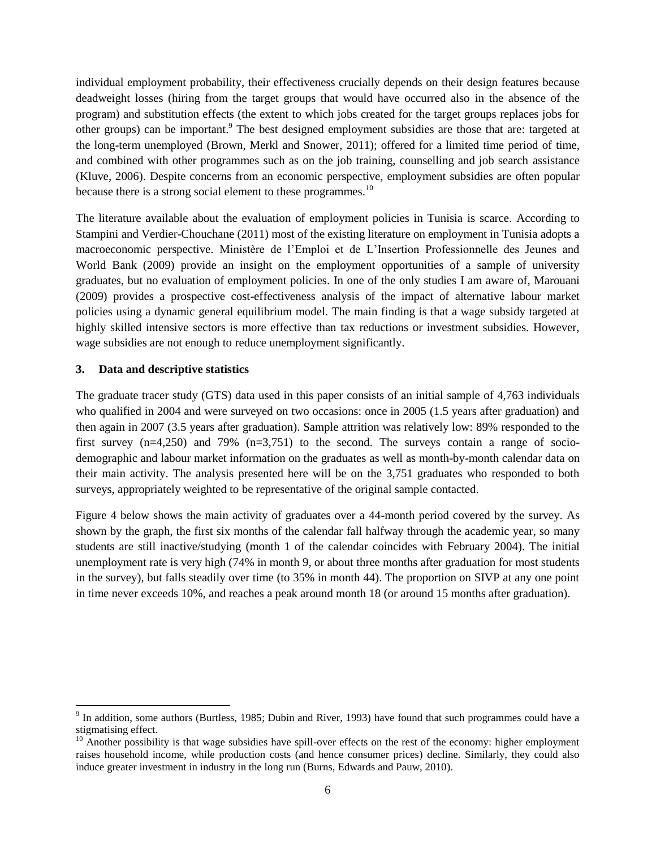individual employment probability, their effectiveness crucially depends on their design features because deadweight losses (hiring from the target groups that would have occurred also in the absence of the program) and substitution effects (the extent to which jobs created for the target groups replaces jobs for other groups) can be important.<sup>9</sup> The best designed employment subsidies are those that are: targeted at the long-term unemployed (Brown, Merkl and Snower, 2011); offered for a limited time period of time, and combined with other programmes such as on the job training, counselling and job search assistance (Kluve, 2006). Despite concerns from an economic perspective, employment subsidies are often popular because there is a strong social element to these programmes.<sup>10</sup>

The literature available about the evaluation of employment policies in Tunisia is scarce. According to Stampini and Verdier-Chouchane (2011) most of the existing literature on employment in Tunisia adopts a macroeconomic perspective. Ministère de l'Emploi et de L'Insertion Professionnelle des Jeunes and World Bank (2009) provide an insight on the employment opportunities of a sample of university graduates, but no evaluation of employment policies. In one of the only studies I am aware of, Marouani (2009) provides a prospective cost-effectiveness analysis of the impact of alternative labour market policies using a dynamic general equilibrium model. The main finding is that a wage subsidy targeted at highly skilled intensive sectors is more effective than tax reductions or investment subsidies. However, wage subsidies are not enough to reduce unemployment significantly.

#### **3. Data and descriptive statistics**

 $\overline{a}$ 

The graduate tracer study (GTS) data used in this paper consists of an initial sample of 4,763 individuals who qualified in 2004 and were surveyed on two occasions: once in 2005 (1.5 years after graduation) and then again in 2007 (3.5 years after graduation). Sample attrition was relatively low: 89% responded to the first survey  $(n=4,250)$  and 79%  $(n=3,751)$  to the second. The surveys contain a range of sociodemographic and labour market information on the graduates as well as month-by-month calendar data on their main activity. The analysis presented here will be on the 3,751 graduates who responded to both surveys, appropriately weighted to be representative of the original sample contacted.

Figure 4 below shows the main activity of graduates over a 44-month period covered by the survey. As shown by the graph, the first six months of the calendar fall halfway through the academic year, so many students are still inactive/studying (month 1 of the calendar coincides with February 2004). The initial unemployment rate is very high (74% in month 9, or about three months after graduation for most students in the survey), but falls steadily over time (to 35% in month 44). The proportion on SIVP at any one point in time never exceeds 10%, and reaches a peak around month 18 (or around 15 months after graduation).

<sup>&</sup>lt;sup>9</sup> In addition, some authors (Burtless, 1985; Dubin and River, 1993) have found that such programmes could have a stigmatising effect.

<sup>&</sup>lt;sup>10</sup> Another possibility is that wage subsidies have spill-over effects on the rest of the economy: higher employment raises household income, while production costs (and hence consumer prices) decline. Similarly, they could also induce greater investment in industry in the long run (Burns, Edwards and Pauw, 2010).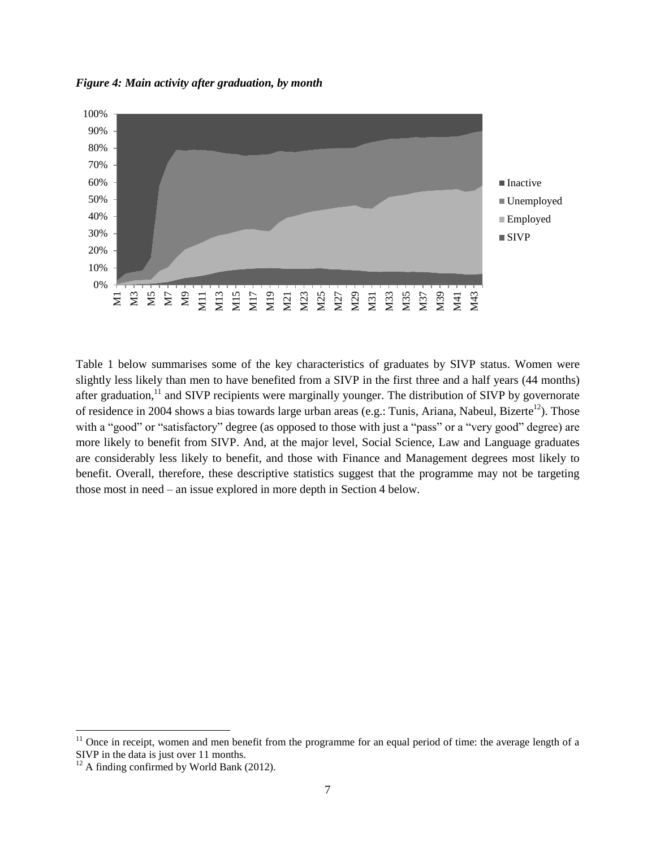*Figure 4: Main activity after graduation, by month*



Table 1 below summarises some of the key characteristics of graduates by SIVP status. Women were slightly less likely than men to have benefited from a SIVP in the first three and a half years (44 months) after graduation,<sup>11</sup> and SIVP recipients were marginally younger. The distribution of SIVP by governorate of residence in 2004 shows a bias towards large urban areas (e.g.: Tunis, Ariana, Nabeul, Bizerte<sup>12</sup>). Those with a "good" or "satisfactory" degree (as opposed to those with just a "pass" or a "very good" degree) are more likely to benefit from SIVP. And, at the major level, Social Science, Law and Language graduates are considerably less likely to benefit, and those with Finance and Management degrees most likely to benefit. Overall, therefore, these descriptive statistics suggest that the programme may not be targeting those most in need – an issue explored in more depth in Section 4 below.

 $\overline{a}$ 

 $11$  Once in receipt, women and men benefit from the programme for an equal period of time: the average length of a SIVP in the data is just over 11 months.

 $12$  A finding confirmed by World Bank (2012).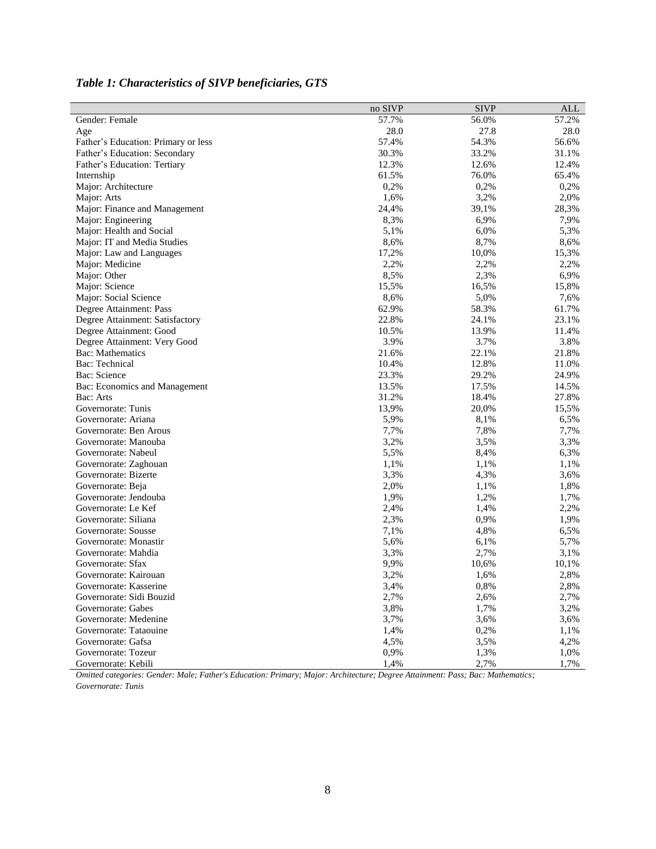|                                     | no SIVP | <b>SIVP</b> | ALL   |
|-------------------------------------|---------|-------------|-------|
| Gender: Female                      | 57.7%   | 56.0%       | 57.2% |
| Age                                 | 28.0    | 27.8        | 28.0  |
| Father's Education: Primary or less | 57.4%   | 54.3%       | 56.6% |
| Father's Education: Secondary       | 30.3%   | 33.2%       | 31.1% |
| Father's Education: Tertiary        | 12.3%   | 12.6%       | 12.4% |
| Internship                          | 61.5%   | 76.0%       | 65.4% |
| Major: Architecture                 | 0,2%    | 0,2%        | 0,2%  |
| Major: Arts                         | 1,6%    | 3,2%        | 2,0%  |
| Major: Finance and Management       | 24,4%   | 39,1%       | 28,3% |
| Major: Engineering                  | 8,3%    | 6,9%        | 7,9%  |
| Major: Health and Social            | 5,1%    | 6,0%        | 5,3%  |
| Major: IT and Media Studies         | 8,6%    | 8,7%        | 8,6%  |
| Major: Law and Languages            | 17,2%   | 10,0%       | 15,3% |
| Major: Medicine                     | 2,2%    | 2,2%        | 2,2%  |
| Major: Other                        | 8,5%    | 2,3%        | 6,9%  |
| Major: Science                      | 15,5%   | 16,5%       | 15,8% |
| Major: Social Science               | 8,6%    | 5,0%        | 7,6%  |
| Degree Attainment: Pass             | 62.9%   | 58.3%       | 61.7% |
| Degree Attainment: Satisfactory     | 22.8%   | 24.1%       | 23.1% |
| Degree Attainment: Good             | 10.5%   | 13.9%       | 11.4% |
| Degree Attainment: Very Good        | 3.9%    | 3.7%        | 3.8%  |
| <b>Bac:</b> Mathematics             | 21.6%   | 22.1%       | 21.8% |
| Bac: Technical                      | 10.4%   | 12.8%       | 11.0% |
| Bac: Science                        | 23.3%   | 29.2%       | 24.9% |
| Bac: Economics and Management       | 13.5%   | 17.5%       | 14.5% |
| Bac: Arts                           | 31.2%   | 18.4%       | 27.8% |
| Governorate: Tunis                  | 13,9%   | 20,0%       | 15,5% |
| Governorate: Ariana                 | 5,9%    | 8,1%        | 6,5%  |
| Governorate: Ben Arous              | 7,7%    | 7,8%        | 7,7%  |
| Governorate: Manouba                | 3,2%    | 3,5%        | 3,3%  |
| Governorate: Nabeul                 | 5,5%    | 8,4%        | 6,3%  |
| Governorate: Zaghouan               | 1,1%    | 1,1%        | 1,1%  |
| Governorate: Bizerte                | 3,3%    | 4,3%        | 3,6%  |
| Governorate: Beja                   | 2,0%    | 1,1%        | 1,8%  |
| Governorate: Jendouba               | 1,9%    | 1,2%        | 1,7%  |
| Governorate: Le Kef                 | 2,4%    | 1,4%        | 2,2%  |
| Governorate: Siliana                | 2,3%    | 0,9%        | 1,9%  |
| Governorate: Sousse                 | 7,1%    | 4,8%        | 6,5%  |
| Governorate: Monastir               | 5,6%    | 6,1%        | 5,7%  |
| Governorate: Mahdia                 | 3,3%    | 2,7%        | 3,1%  |
| Governorate: Sfax                   | 9,9%    | 10,6%       | 10,1% |
| Governorate: Kairouan               | 3,2%    | 1,6%        | 2,8%  |
| Governorate: Kasserine              | 3,4%    | 0,8%        | 2,8%  |
| Governorate: Sidi Bouzid            | 2,7%    | 2,6%        | 2,7%  |
| Governorate: Gabes                  | 3,8%    | 1,7%        | 3,2%  |
| Governorate: Medenine               | 3,7%    | 3,6%        | 3,6%  |
| Governorate: Tataouine              | 1,4%    | 0,2%        | 1,1%  |
| Governorate: Gafsa                  | 4,5%    | 3,5%        | 4,2%  |
| Governorate: Tozeur                 | 0,9%    | 1,3%        | 1,0%  |
| Governorate: Kebili                 | 1,4%    | 2,7%        | 1,7%  |

# *Table 1: Characteristics of SIVP beneficiaries, GTS*

*Omitted categories: Gender: Male; Father's Education: Primary; Major: Architecture; Degree Attainment: Pass; Bac: Mathematics; Governorate: Tunis*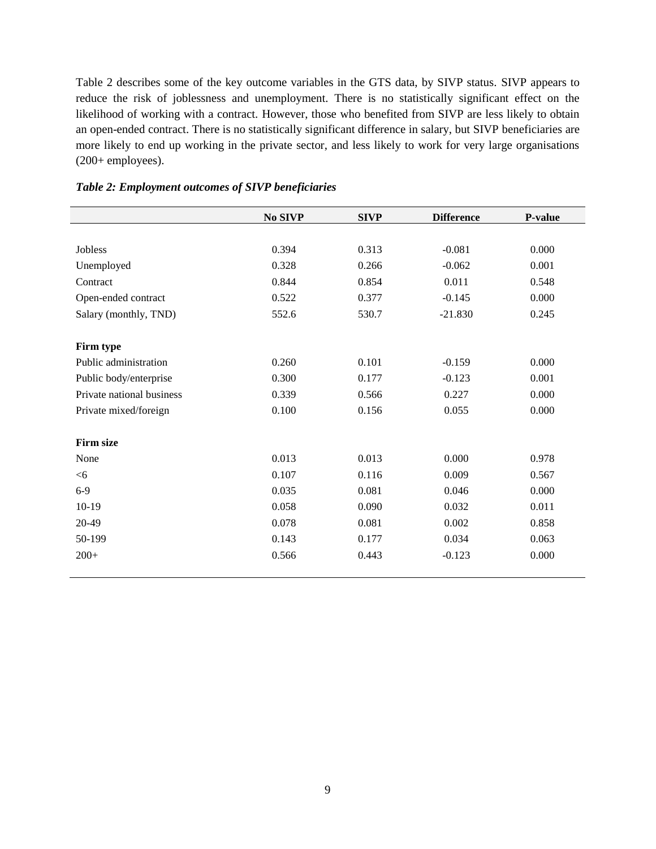Table 2 describes some of the key outcome variables in the GTS data, by SIVP status. SIVP appears to reduce the risk of joblessness and unemployment. There is no statistically significant effect on the likelihood of working with a contract. However, those who benefited from SIVP are less likely to obtain an open-ended contract. There is no statistically significant difference in salary, but SIVP beneficiaries are more likely to end up working in the private sector, and less likely to work for very large organisations (200+ employees).

|                           | No SIVP | <b>SIVP</b> | <b>Difference</b> | P-value |
|---------------------------|---------|-------------|-------------------|---------|
|                           |         |             |                   |         |
| Jobless                   | 0.394   | 0.313       | $-0.081$          | 0.000   |
| Unemployed                | 0.328   | 0.266       | $-0.062$          | 0.001   |
| Contract                  | 0.844   | 0.854       | 0.011             | 0.548   |
| Open-ended contract       | 0.522   | 0.377       | $-0.145$          | 0.000   |
| Salary (monthly, TND)     | 552.6   | 530.7       | $-21.830$         | 0.245   |
|                           |         |             |                   |         |
| Firm type                 |         |             |                   |         |
| Public administration     | 0.260   | 0.101       | $-0.159$          | 0.000   |
| Public body/enterprise    | 0.300   | 0.177       | $-0.123$          | 0.001   |
| Private national business | 0.339   | 0.566       | 0.227             | 0.000   |
| Private mixed/foreign     | 0.100   | 0.156       | 0.055             | 0.000   |
|                           |         |             |                   |         |
| <b>Firm size</b>          |         |             |                   |         |
| None                      | 0.013   | 0.013       | 0.000             | 0.978   |
| <6                        | 0.107   | 0.116       | 0.009             | 0.567   |
| $6-9$                     | 0.035   | 0.081       | 0.046             | 0.000   |
| $10-19$                   | 0.058   | 0.090       | 0.032             | 0.011   |
| 20-49                     | 0.078   | 0.081       | 0.002             | 0.858   |
| 50-199                    | 0.143   | 0.177       | 0.034             | 0.063   |
| $200+$                    | 0.566   | 0.443       | $-0.123$          | 0.000   |
|                           |         |             |                   |         |

#### *Table 2: Employment outcomes of SIVP beneficiaries*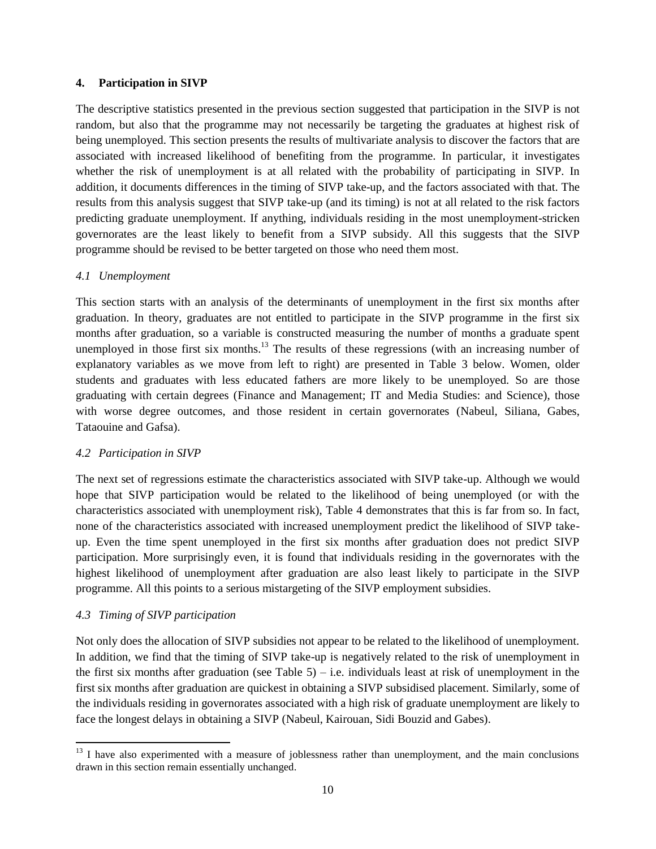#### **4. Participation in SIVP**

The descriptive statistics presented in the previous section suggested that participation in the SIVP is not random, but also that the programme may not necessarily be targeting the graduates at highest risk of being unemployed. This section presents the results of multivariate analysis to discover the factors that are associated with increased likelihood of benefiting from the programme. In particular, it investigates whether the risk of unemployment is at all related with the probability of participating in SIVP. In addition, it documents differences in the timing of SIVP take-up, and the factors associated with that. The results from this analysis suggest that SIVP take-up (and its timing) is not at all related to the risk factors predicting graduate unemployment. If anything, individuals residing in the most unemployment-stricken governorates are the least likely to benefit from a SIVP subsidy. All this suggests that the SIVP programme should be revised to be better targeted on those who need them most.

#### *4.1 Unemployment*

This section starts with an analysis of the determinants of unemployment in the first six months after graduation. In theory, graduates are not entitled to participate in the SIVP programme in the first six months after graduation, so a variable is constructed measuring the number of months a graduate spent unemployed in those first six months.<sup>13</sup> The results of these regressions (with an increasing number of explanatory variables as we move from left to right) are presented in Table 3 below. Women, older students and graduates with less educated fathers are more likely to be unemployed. So are those graduating with certain degrees (Finance and Management; IT and Media Studies: and Science), those with worse degree outcomes, and those resident in certain governorates (Nabeul, Siliana, Gabes, Tataouine and Gafsa).

#### *4.2 Participation in SIVP*

The next set of regressions estimate the characteristics associated with SIVP take-up. Although we would hope that SIVP participation would be related to the likelihood of being unemployed (or with the characteristics associated with unemployment risk), Table 4 demonstrates that this is far from so. In fact, none of the characteristics associated with increased unemployment predict the likelihood of SIVP takeup. Even the time spent unemployed in the first six months after graduation does not predict SIVP participation. More surprisingly even, it is found that individuals residing in the governorates with the highest likelihood of unemployment after graduation are also least likely to participate in the SIVP programme. All this points to a serious mistargeting of the SIVP employment subsidies.

### *4.3 Timing of SIVP participation*

 $\overline{a}$ 

Not only does the allocation of SIVP subsidies not appear to be related to the likelihood of unemployment. In addition, we find that the timing of SIVP take-up is negatively related to the risk of unemployment in the first six months after graduation (see Table 5) – i.e. individuals least at risk of unemployment in the first six months after graduation are quickest in obtaining a SIVP subsidised placement. Similarly, some of the individuals residing in governorates associated with a high risk of graduate unemployment are likely to face the longest delays in obtaining a SIVP (Nabeul, Kairouan, Sidi Bouzid and Gabes).

<sup>&</sup>lt;sup>13</sup> I have also experimented with a measure of joblessness rather than unemployment, and the main conclusions drawn in this section remain essentially unchanged.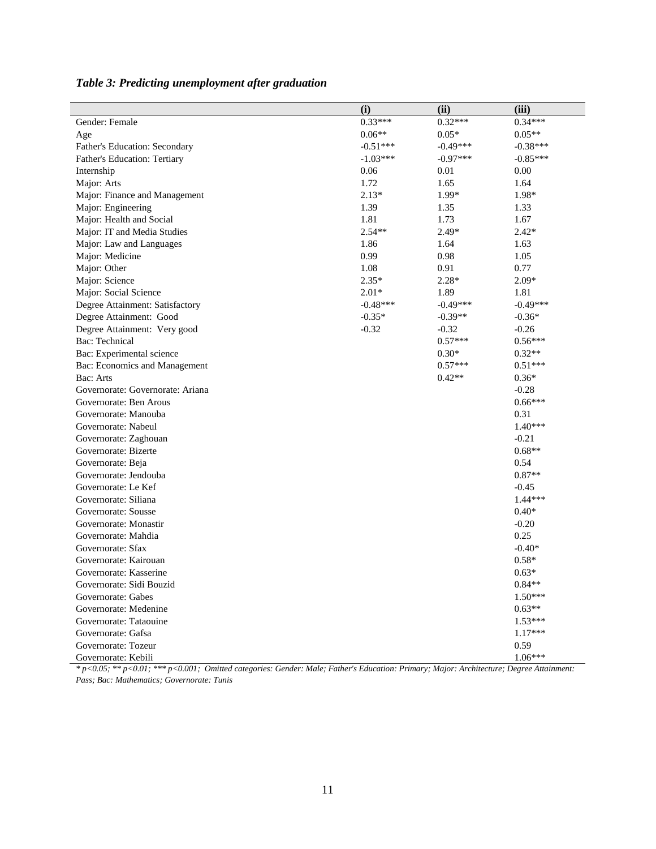|                                  | (i)        | (ii)       | (iii)      |
|----------------------------------|------------|------------|------------|
| Gender: Female                   | $0.33***$  | $0.32***$  | $0.34***$  |
| Age                              | $0.06**$   | $0.05*$    | $0.05**$   |
| Father's Education: Secondary    | $-0.51***$ | $-0.49***$ | $-0.38***$ |
| Father's Education: Tertiary     | $-1.03***$ | $-0.97***$ | $-0.85***$ |
| Internship                       | 0.06       | 0.01       | 0.00       |
| Major: Arts                      | 1.72       | 1.65       | 1.64       |
| Major: Finance and Management    | $2.13*$    | 1.99*      | 1.98*      |
| Major: Engineering               | 1.39       | 1.35       | 1.33       |
| Major: Health and Social         | 1.81       | 1.73       | 1.67       |
| Major: IT and Media Studies      | $2.54**$   | 2.49*      | $2.42*$    |
| Major: Law and Languages         | 1.86       | 1.64       | 1.63       |
| Major: Medicine                  | 0.99       | 0.98       | 1.05       |
| Major: Other                     | 1.08       | 0.91       | 0.77       |
| Major: Science                   | $2.35*$    | $2.28*$    | $2.09*$    |
| Major: Social Science            | $2.01*$    | 1.89       | 1.81       |
| Degree Attainment: Satisfactory  | $-0.48***$ | $-0.49***$ | $-0.49***$ |
| Degree Attainment: Good          | $-0.35*$   | $-0.39**$  | $-0.36*$   |
| Degree Attainment: Very good     | $-0.32$    | $-0.32$    | $-0.26$    |
| Bac: Technical                   |            | $0.57***$  | $0.56***$  |
| Bac: Experimental science        |            | $0.30*$    | $0.32**$   |
| Bac: Economics and Management    |            | $0.57***$  | $0.51***$  |
| Bac: Arts                        |            | $0.42**$   | $0.36*$    |
| Governorate: Governorate: Ariana |            |            | $-0.28$    |
| Governorate: Ben Arous           |            |            | $0.66***$  |
| Governorate: Manouba             |            |            | 0.31       |
| Governorate: Nabeul              |            |            | $1.40***$  |
| Governorate: Zaghouan            |            |            | $-0.21$    |
| Governorate: Bizerte             |            |            | $0.68**$   |
| Governorate: Beja                |            |            | 0.54       |
| Governorate: Jendouba            |            |            | $0.87**$   |
| Governorate: Le Kef              |            |            | $-0.45$    |
| Governorate: Siliana             |            |            | 1.44***    |
| Governorate: Sousse              |            |            | $0.40*$    |
| Governorate: Monastir            |            |            | $-0.20$    |
| Governorate: Mahdia              |            |            | 0.25       |
| Governorate: Sfax                |            |            | $-0.40*$   |
| Governorate: Kairouan            |            |            | $0.58*$    |
| Governorate: Kasserine           |            |            | $0.63*$    |
| Governorate: Sidi Bouzid         |            |            | $0.84**$   |
| Governorate: Gabes               |            |            | $1.50***$  |
| Governorate: Medenine            |            |            | $0.63**$   |
| Governorate: Tataouine           |            |            | $1.53***$  |
| Governorate: Gafsa               |            |            | $1.17***$  |
| Governorate: Tozeur              |            |            | 0.59       |
| Governorate: Kebili              |            |            | $1.06***$  |

*Table 3: Predicting unemployment after graduation*

*\* p<0.05; \*\* p<0.01; \*\*\* p<0.001; Omitted categories: Gender: Male; Father's Education: Primary; Major: Architecture; Degree Attainment: Pass; Bac: Mathematics; Governorate: Tunis*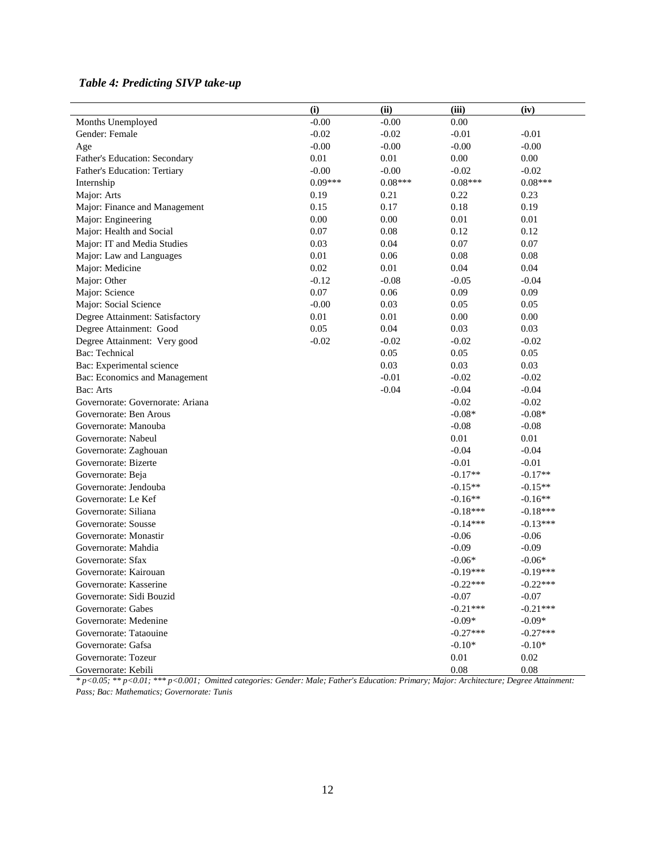## *Table 4: Predicting SIVP take-up*

|                                  | (i)       | (ii)      | (iii)      | (iv)       |
|----------------------------------|-----------|-----------|------------|------------|
| Months Unemployed                | $-0.00$   | $-0.00$   | $0.00\,$   |            |
| Gender: Female                   | $-0.02$   | $-0.02$   | $-0.01$    | $-0.01$    |
| Age                              | $-0.00$   | $-0.00$   | $-0.00$    | $-0.00$    |
| Father's Education: Secondary    | $0.01\,$  | 0.01      | 0.00       | 0.00       |
| Father's Education: Tertiary     | $-0.00$   | $-0.00$   | $-0.02$    | $-0.02$    |
| Internship                       | $0.09***$ | $0.08***$ | $0.08***$  | $0.08***$  |
| Major: Arts                      | 0.19      | 0.21      | 0.22       | 0.23       |
| Major: Finance and Management    | 0.15      | 0.17      | 0.18       | 0.19       |
| Major: Engineering               | 0.00      | $0.00\,$  | $0.01\,$   | $0.01\,$   |
| Major: Health and Social         | 0.07      | 0.08      | 0.12       | 0.12       |
| Major: IT and Media Studies      | 0.03      | 0.04      | 0.07       | 0.07       |
| Major: Law and Languages         | 0.01      | 0.06      | 0.08       | 0.08       |
| Major: Medicine                  | 0.02      | 0.01      | 0.04       | 0.04       |
| Major: Other                     | $-0.12$   | $-0.08$   | $-0.05$    | $-0.04$    |
| Major: Science                   | 0.07      | 0.06      | 0.09       | 0.09       |
| Major: Social Science            | $-0.00$   | 0.03      | 0.05       | 0.05       |
| Degree Attainment: Satisfactory  | $0.01\,$  | $0.01\,$  | $0.00\,$   | 0.00       |
| Degree Attainment: Good          | 0.05      | $0.04\,$  | 0.03       | 0.03       |
| Degree Attainment: Very good     | $-0.02$   | $-0.02$   | $-0.02$    | $-0.02$    |
| Bac: Technical                   |           | 0.05      | 0.05       | 0.05       |
| Bac: Experimental science        |           | 0.03      | 0.03       | 0.03       |
| Bac: Economics and Management    |           | $-0.01$   | $-0.02$    | $-0.02$    |
| Bac: Arts                        |           | $-0.04$   | $-0.04$    | $-0.04$    |
| Governorate: Governorate: Ariana |           |           | $-0.02$    | $-0.02$    |
| Governorate: Ben Arous           |           |           | $-0.08*$   | $-0.08*$   |
| Governorate: Manouba             |           |           | $-0.08$    | $-0.08$    |
| Governorate: Nabeul              |           |           | $0.01\,$   | 0.01       |
| Governorate: Zaghouan            |           |           | $-0.04$    | $-0.04$    |
| Governorate: Bizerte             |           |           | $-0.01$    | $-0.01$    |
| Governorate: Beja                |           |           | $-0.17**$  | $-0.17**$  |
| Governorate: Jendouba            |           |           | $-0.15**$  | $-0.15**$  |
| Governorate: Le Kef              |           |           | $-0.16**$  | $-0.16**$  |
| Governorate: Siliana             |           |           | $-0.18***$ | $-0.18***$ |
| Governorate: Sousse              |           |           | $-0.14***$ | $-0.13***$ |
| Governorate: Monastir            |           |           | $-0.06$    | $-0.06$    |
| Governorate: Mahdia              |           |           | $-0.09$    | $-0.09$    |
| Governorate: Sfax                |           |           | $-0.06*$   | $-0.06*$   |
| Governorate: Kairouan            |           |           | $-0.19***$ | $-0.19***$ |
| Governorate: Kasserine           |           |           | $-0.22***$ | $-0.22***$ |
| Governorate: Sidi Bouzid         |           |           | $-0.07$    | $-0.07$    |
| Governorate: Gabes               |           |           | $-0.21***$ | $-0.21***$ |
| Governorate: Medenine            |           |           | $-0.09*$   | $-0.09*$   |
| Governorate: Tataouine           |           |           | $-0.27***$ | $-0.27***$ |
| Governorate: Gafsa               |           |           | $-0.10*$   | $-0.10*$   |
| Governorate: Tozeur              |           |           | $0.01\,$   | 0.02       |
| Governorate: Kebili              |           |           | 0.08       | 0.08       |

*\* p<0.05; \*\* p<0.01; \*\*\* p<0.001; Omitted categories: Gender: Male; Father's Education: Primary; Major: Architecture; Degree Attainment: Pass; Bac: Mathematics; Governorate: Tunis*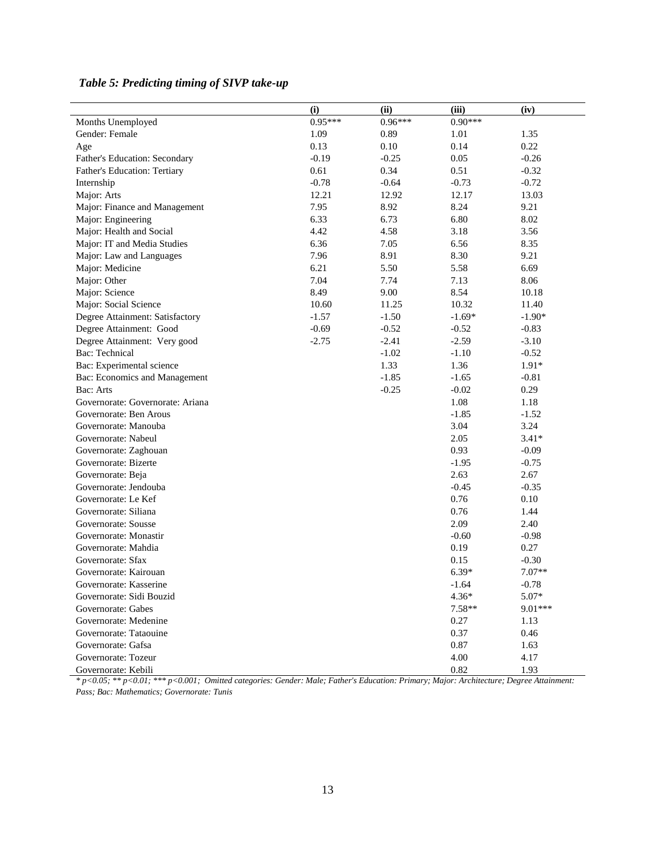|                                  | (i)       | (ii)      | (iii)     | (iv)     |
|----------------------------------|-----------|-----------|-----------|----------|
| Months Unemployed                | $0.95***$ | $0.96***$ | $0.90***$ |          |
| Gender: Female                   | 1.09      | 0.89      | 1.01      | 1.35     |
| Age                              | 0.13      | $0.10\,$  | 0.14      | 0.22     |
| Father's Education: Secondary    | $-0.19$   | $-0.25$   | 0.05      | $-0.26$  |
| Father's Education: Tertiary     | 0.61      | 0.34      | 0.51      | $-0.32$  |
| Internship                       | $-0.78$   | $-0.64$   | $-0.73$   | $-0.72$  |
| Major: Arts                      | 12.21     | 12.92     | 12.17     | 13.03    |
| Major: Finance and Management    | 7.95      | 8.92      | 8.24      | 9.21     |
| Major: Engineering               | 6.33      | 6.73      | 6.80      | 8.02     |
| Major: Health and Social         | 4.42      | 4.58      | 3.18      | 3.56     |
| Major: IT and Media Studies      | 6.36      | 7.05      | 6.56      | 8.35     |
| Major: Law and Languages         | 7.96      | 8.91      | 8.30      | 9.21     |
| Major: Medicine                  | 6.21      | 5.50      | 5.58      | 6.69     |
| Major: Other                     | 7.04      | 7.74      | 7.13      | 8.06     |
| Major: Science                   | 8.49      | 9.00      | 8.54      | 10.18    |
| Major: Social Science            | 10.60     | 11.25     | 10.32     | 11.40    |
| Degree Attainment: Satisfactory  | $-1.57$   | $-1.50$   | $-1.69*$  | $-1.90*$ |
| Degree Attainment: Good          | $-0.69$   | $-0.52$   | $-0.52$   | $-0.83$  |
| Degree Attainment: Very good     | $-2.75$   | $-2.41$   | $-2.59$   | $-3.10$  |
| Bac: Technical                   |           | $-1.02$   | $-1.10$   | $-0.52$  |
| Bac: Experimental science        |           | 1.33      | 1.36      | $1.91*$  |
| Bac: Economics and Management    |           | $-1.85$   | $-1.65$   | $-0.81$  |
| Bac: Arts                        |           | $-0.25$   | $-0.02$   | 0.29     |
| Governorate: Governorate: Ariana |           |           | 1.08      | 1.18     |
| Governorate: Ben Arous           |           |           | $-1.85$   | $-1.52$  |
| Governorate: Manouba             |           |           | 3.04      | 3.24     |
| Governorate: Nabeul              |           |           | 2.05      | $3.41*$  |
| Governorate: Zaghouan            |           |           | 0.93      | $-0.09$  |
| Governorate: Bizerte             |           |           | $-1.95$   | $-0.75$  |
| Governorate: Beja                |           |           | 2.63      | 2.67     |
| Governorate: Jendouba            |           |           | $-0.45$   | $-0.35$  |
| Governorate: Le Kef              |           |           | 0.76      | 0.10     |
| Governorate: Siliana             |           |           | 0.76      | 1.44     |
| Governorate: Sousse              |           |           | 2.09      | 2.40     |
| Governorate: Monastir            |           |           | $-0.60$   | $-0.98$  |
| Governorate: Mahdia              |           |           | 0.19      | 0.27     |
| Governorate: Sfax                |           |           | 0.15      | $-0.30$  |
| Governorate: Kairouan            |           |           | $6.39*$   | $7.07**$ |
| Governorate: Kasserine           |           |           | $-1.64$   | $-0.78$  |
| Governorate: Sidi Bouzid         |           |           | $4.36*$   | 5.07*    |
| Governorate: Gabes               |           |           | 7.58**    | 9.01***  |
| Governorate: Medenine            |           |           | 0.27      | 1.13     |
| Governorate: Tataouine           |           |           | 0.37      | 0.46     |
| Governorate: Gafsa               |           |           | 0.87      | 1.63     |
| Governorate: Tozeur              |           |           | 4.00      | 4.17     |
| Governorate: Kebili              |           |           | 0.82      | 1.93     |

## *Table 5: Predicting timing of SIVP take-up*

*\* p<0.05; \*\* p<0.01; \*\*\* p<0.001; Omitted categories: Gender: Male; Father's Education: Primary; Major: Architecture; Degree Attainment: Pass; Bac: Mathematics; Governorate: Tunis*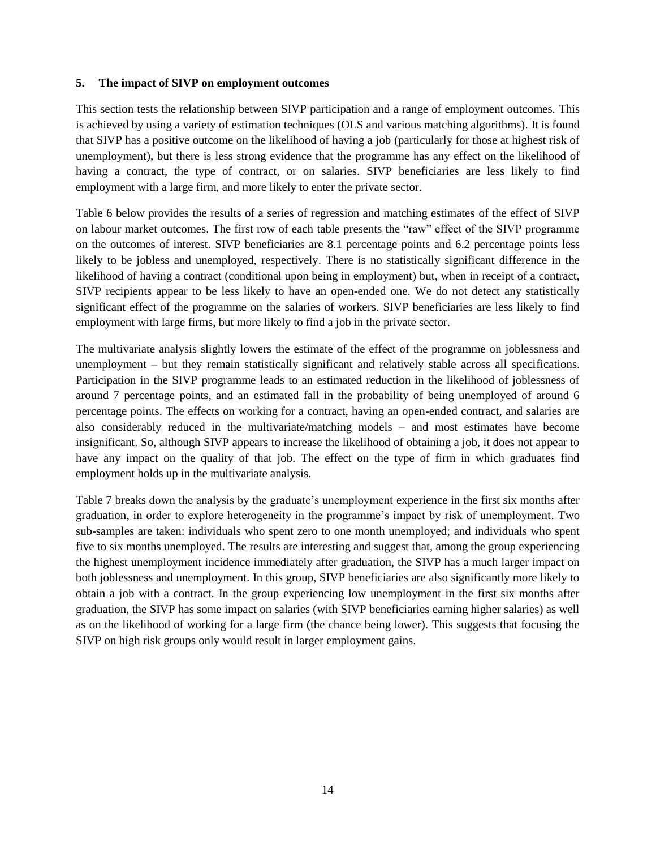#### **5. The impact of SIVP on employment outcomes**

This section tests the relationship between SIVP participation and a range of employment outcomes. This is achieved by using a variety of estimation techniques (OLS and various matching algorithms). It is found that SIVP has a positive outcome on the likelihood of having a job (particularly for those at highest risk of unemployment), but there is less strong evidence that the programme has any effect on the likelihood of having a contract, the type of contract, or on salaries. SIVP beneficiaries are less likely to find employment with a large firm, and more likely to enter the private sector.

Table 6 below provides the results of a series of regression and matching estimates of the effect of SIVP on labour market outcomes. The first row of each table presents the "raw" effect of the SIVP programme on the outcomes of interest. SIVP beneficiaries are 8.1 percentage points and 6.2 percentage points less likely to be jobless and unemployed, respectively. There is no statistically significant difference in the likelihood of having a contract (conditional upon being in employment) but, when in receipt of a contract, SIVP recipients appear to be less likely to have an open-ended one. We do not detect any statistically significant effect of the programme on the salaries of workers. SIVP beneficiaries are less likely to find employment with large firms, but more likely to find a job in the private sector.

The multivariate analysis slightly lowers the estimate of the effect of the programme on joblessness and unemployment – but they remain statistically significant and relatively stable across all specifications. Participation in the SIVP programme leads to an estimated reduction in the likelihood of joblessness of around 7 percentage points, and an estimated fall in the probability of being unemployed of around 6 percentage points. The effects on working for a contract, having an open-ended contract, and salaries are also considerably reduced in the multivariate/matching models – and most estimates have become insignificant. So, although SIVP appears to increase the likelihood of obtaining a job, it does not appear to have any impact on the quality of that job. The effect on the type of firm in which graduates find employment holds up in the multivariate analysis.

Table 7 breaks down the analysis by the graduate's unemployment experience in the first six months after graduation, in order to explore heterogeneity in the programme's impact by risk of unemployment. Two sub-samples are taken: individuals who spent zero to one month unemployed; and individuals who spent five to six months unemployed. The results are interesting and suggest that, among the group experiencing the highest unemployment incidence immediately after graduation, the SIVP has a much larger impact on both joblessness and unemployment. In this group, SIVP beneficiaries are also significantly more likely to obtain a job with a contract. In the group experiencing low unemployment in the first six months after graduation, the SIVP has some impact on salaries (with SIVP beneficiaries earning higher salaries) as well as on the likelihood of working for a large firm (the chance being lower). This suggests that focusing the SIVP on high risk groups only would result in larger employment gains.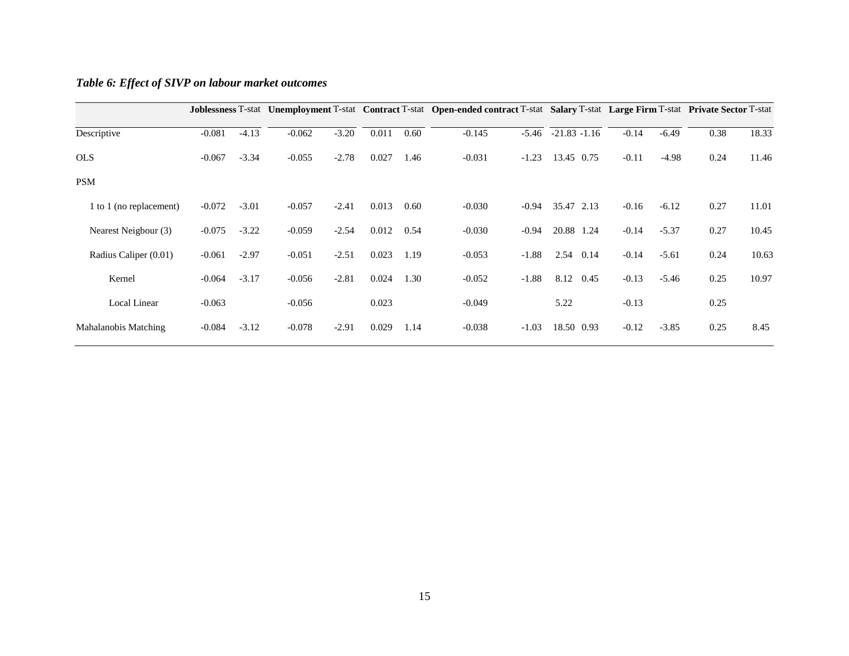|                         |          |         |          |         |       |      | Joblessness T-stat Unemployment T-stat Contract T-stat Open-ended contract T-stat Salary T-stat Large Firm T-stat Private Sector T-stat |         |                 |         |         |      |       |
|-------------------------|----------|---------|----------|---------|-------|------|-----------------------------------------------------------------------------------------------------------------------------------------|---------|-----------------|---------|---------|------|-------|
| Descriptive             | $-0.081$ | $-4.13$ | $-0.062$ | $-3.20$ | 0.011 | 0.60 | $-0.145$                                                                                                                                | $-5.46$ | $-21.83 - 1.16$ | $-0.14$ | $-6.49$ | 0.38 | 18.33 |
| <b>OLS</b>              | $-0.067$ | $-3.34$ | $-0.055$ | $-2.78$ | 0.027 | 1.46 | $-0.031$                                                                                                                                | $-1.23$ | 13.45 0.75      | $-0.11$ | $-4.98$ | 0.24 | 11.46 |
| <b>PSM</b>              |          |         |          |         |       |      |                                                                                                                                         |         |                 |         |         |      |       |
| 1 to 1 (no replacement) | $-0.072$ | $-3.01$ | $-0.057$ | $-2.41$ | 0.013 | 0.60 | $-0.030$                                                                                                                                | $-0.94$ | 35.47 2.13      | $-0.16$ | $-6.12$ | 0.27 | 11.01 |
| Nearest Neigbour (3)    | $-0.075$ | $-3.22$ | $-0.059$ | $-2.54$ | 0.012 | 0.54 | $-0.030$                                                                                                                                | $-0.94$ | 20.88 1.24      | $-0.14$ | $-5.37$ | 0.27 | 10.45 |
| Radius Caliper (0.01)   | $-0.061$ | $-2.97$ | $-0.051$ | $-2.51$ | 0.023 | 1.19 | $-0.053$                                                                                                                                | $-1.88$ | 2.54<br>0.14    | $-0.14$ | $-5.61$ | 0.24 | 10.63 |
| Kernel                  | $-0.064$ | $-3.17$ | $-0.056$ | $-2.81$ | 0.024 | 1.30 | $-0.052$                                                                                                                                | $-1.88$ | 8.12<br>0.45    | $-0.13$ | $-5.46$ | 0.25 | 10.97 |
| Local Linear            | $-0.063$ |         | $-0.056$ |         | 0.023 |      | $-0.049$                                                                                                                                |         | 5.22            | $-0.13$ |         | 0.25 |       |
| Mahalanobis Matching    | $-0.084$ | $-3.12$ | $-0.078$ | $-2.91$ | 0.029 | 1.14 | $-0.038$                                                                                                                                | $-1.03$ | 18.50 0.93      | $-0.12$ | $-3.85$ | 0.25 | 8.45  |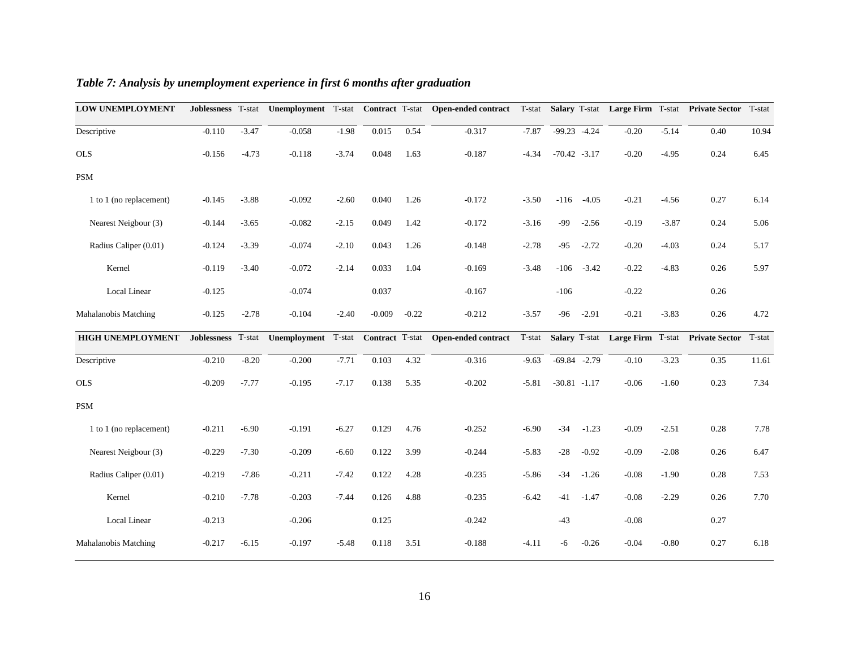| <b>LOW UNEMPLOYMENT</b>  | Joblessness T-stat |         |              |         |          |         | Unemployment T-stat Contract T-stat Open-ended contract T-stat Salary T-stat Large Firm T-stat Private Sector |         |                 |         |         |         |                                                | T-stat |
|--------------------------|--------------------|---------|--------------|---------|----------|---------|---------------------------------------------------------------------------------------------------------------|---------|-----------------|---------|---------|---------|------------------------------------------------|--------|
| Descriptive              | $-0.110$           | $-3.47$ | $-0.058$     | $-1.98$ | 0.015    | 0.54    | $-0.317$                                                                                                      | $-7.87$ | $-99.23 - 4.24$ |         | $-0.20$ | $-5.14$ | 0.40                                           | 10.94  |
| <b>OLS</b>               | $-0.156$           | $-4.73$ | $-0.118$     | $-3.74$ | 0.048    | 1.63    | $-0.187$                                                                                                      | $-4.34$ | $-70.42 -3.17$  |         | $-0.20$ | $-4.95$ | 0.24                                           | 6.45   |
| <b>PSM</b>               |                    |         |              |         |          |         |                                                                                                               |         |                 |         |         |         |                                                |        |
| 1 to 1 (no replacement)  | $-0.145$           | $-3.88$ | $-0.092$     | $-2.60$ | 0.040    | 1.26    | $-0.172$                                                                                                      | $-3.50$ | $-116$          | $-4.05$ | $-0.21$ | $-4.56$ | 0.27                                           | 6.14   |
| Nearest Neigbour (3)     | $-0.144$           | $-3.65$ | $-0.082$     | $-2.15$ | 0.049    | 1.42    | $-0.172$                                                                                                      | $-3.16$ | -99             | $-2.56$ | $-0.19$ | $-3.87$ | 0.24                                           | 5.06   |
| Radius Caliper (0.01)    | $-0.124$           | $-3.39$ | $-0.074$     | $-2.10$ | 0.043    | 1.26    | $-0.148$                                                                                                      | $-2.78$ | $-95$           | $-2.72$ | $-0.20$ | $-4.03$ | 0.24                                           | 5.17   |
| Kernel                   | $-0.119$           | $-3.40$ | $-0.072$     | $-2.14$ | 0.033    | 1.04    | $-0.169$                                                                                                      | $-3.48$ | $-106$          | $-3.42$ | $-0.22$ | $-4.83$ | 0.26                                           | 5.97   |
| Local Linear             | $-0.125$           |         | $-0.074$     |         | 0.037    |         | $-0.167$                                                                                                      |         | $-106$          |         | $-0.22$ |         | 0.26                                           |        |
| Mahalanobis Matching     | $-0.125$           | $-2.78$ | $-0.104$     | $-2.40$ | $-0.009$ | $-0.22$ | $-0.212$                                                                                                      | $-3.57$ | $-96$           | $-2.91$ | $-0.21$ | $-3.83$ | 0.26                                           | 4.72   |
| <b>HIGH UNEMPLOYMENT</b> | Joblessness T-stat |         | Unemployment | T-stat  |          |         | Contract T-stat Open-ended contract                                                                           | T-stat  |                 |         |         |         | Salary T-stat Large Firm T-stat Private Sector | T-stat |
| Descriptive              | $-0.210$           | $-8.20$ | $-0.200$     | $-7.71$ | 0.103    | 4.32    | $-0.316$                                                                                                      | $-9.63$ | $-69.84 -2.79$  |         | $-0.10$ | $-3.23$ | 0.35                                           | 11.61  |
| <b>OLS</b>               | $-0.209$           | $-7.77$ | $-0.195$     | $-7.17$ | 0.138    | 5.35    | $-0.202$                                                                                                      | $-5.81$ | $-30.81 - 1.17$ |         | $-0.06$ | $-1.60$ | 0.23                                           | 7.34   |
| <b>PSM</b>               |                    |         |              |         |          |         |                                                                                                               |         |                 |         |         |         |                                                |        |
| 1 to 1 (no replacement)  | $-0.211$           | $-6.90$ | $-0.191$     | $-6.27$ | 0.129    | 4.76    | $-0.252$                                                                                                      | $-6.90$ | $-34$           | $-1.23$ | $-0.09$ | $-2.51$ | 0.28                                           | 7.78   |
| Nearest Neigbour (3)     | $-0.229$           | $-7.30$ | $-0.209$     | $-6.60$ | 0.122    | 3.99    | $-0.244$                                                                                                      | $-5.83$ | $-28$           | $-0.92$ | $-0.09$ | $-2.08$ | 0.26                                           | 6.47   |
| Radius Caliper (0.01)    | $-0.219$           | $-7.86$ | $-0.211$     | $-7.42$ | 0.122    | 4.28    | $-0.235$                                                                                                      | $-5.86$ | $-34$           | $-1.26$ | $-0.08$ | $-1.90$ | 0.28                                           | 7.53   |
| Kernel                   | $-0.210$           | $-7.78$ | $-0.203$     | $-7.44$ | 0.126    | 4.88    | $-0.235$                                                                                                      | $-6.42$ | $-41$           | $-1.47$ | $-0.08$ | $-2.29$ | 0.26                                           | 7.70   |
| Local Linear             | $-0.213$           |         | $-0.206$     |         | 0.125    |         | $-0.242$                                                                                                      |         | $-43$           |         | $-0.08$ |         | 0.27                                           |        |
| Mahalanobis Matching     | $-0.217$           | $-6.15$ | $-0.197$     | $-5.48$ | 0.118    | 3.51    | $-0.188$                                                                                                      | $-4.11$ | -6              | $-0.26$ | $-0.04$ | $-0.80$ | 0.27                                           | 6.18   |

# *Table 7: Analysis by unemployment experience in first 6 months after graduation*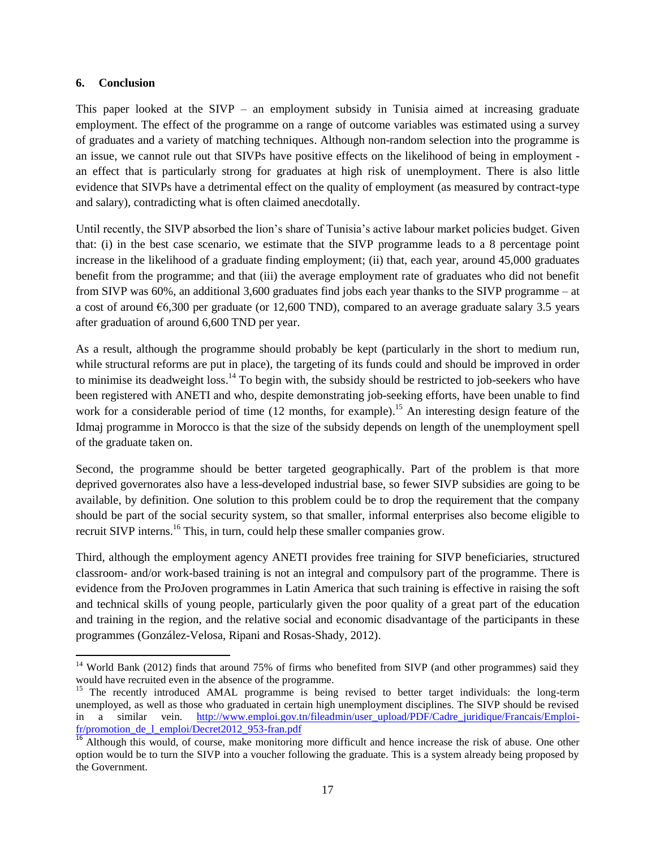#### **6. Conclusion**

 $\overline{a}$ 

This paper looked at the SIVP – an employment subsidy in Tunisia aimed at increasing graduate employment. The effect of the programme on a range of outcome variables was estimated using a survey of graduates and a variety of matching techniques. Although non-random selection into the programme is an issue, we cannot rule out that SIVPs have positive effects on the likelihood of being in employment an effect that is particularly strong for graduates at high risk of unemployment. There is also little evidence that SIVPs have a detrimental effect on the quality of employment (as measured by contract-type and salary), contradicting what is often claimed anecdotally.

Until recently, the SIVP absorbed the lion's share of Tunisia's active labour market policies budget. Given that: (i) in the best case scenario, we estimate that the SIVP programme leads to a 8 percentage point increase in the likelihood of a graduate finding employment; (ii) that, each year, around 45,000 graduates benefit from the programme; and that (iii) the average employment rate of graduates who did not benefit from SIVP was 60%, an additional 3,600 graduates find jobs each year thanks to the SIVP programme – at a cost of around  $\epsilon$ 6,300 per graduate (or 12,600 TND), compared to an average graduate salary 3.5 years after graduation of around 6,600 TND per year.

As a result, although the programme should probably be kept (particularly in the short to medium run, while structural reforms are put in place), the targeting of its funds could and should be improved in order to minimise its deadweight loss.<sup>14</sup> To begin with, the subsidy should be restricted to job-seekers who have been registered with ANETI and who, despite demonstrating job-seeking efforts, have been unable to find work for a considerable period of time (12 months, for example).<sup>15</sup> An interesting design feature of the Idmaj programme in Morocco is that the size of the subsidy depends on length of the unemployment spell of the graduate taken on.

Second, the programme should be better targeted geographically. Part of the problem is that more deprived governorates also have a less-developed industrial base, so fewer SIVP subsidies are going to be available, by definition. One solution to this problem could be to drop the requirement that the company should be part of the social security system, so that smaller, informal enterprises also become eligible to recruit SIVP interns.<sup>16</sup> This, in turn, could help these smaller companies grow.

Third, although the employment agency ANETI provides free training for SIVP beneficiaries, structured classroom- and/or work-based training is not an integral and compulsory part of the programme. There is evidence from the ProJoven programmes in Latin America that such training is effective in raising the soft and technical skills of young people, particularly given the poor quality of a great part of the education and training in the region, and the relative social and economic disadvantage of the participants in these programmes (González-Velosa, Ripani and Rosas-Shady, 2012).

<sup>&</sup>lt;sup>14</sup> World Bank (2012) finds that around 75% of firms who benefited from SIVP (and other programmes) said they would have recruited even in the absence of the programme.

<sup>&</sup>lt;sup>15</sup> The recently introduced AMAL programme is being revised to better target individuals: the long-term unemployed, as well as those who graduated in certain high unemployment disciplines. The SIVP should be revised in a similar vein. [http://www.emploi.gov.tn/fileadmin/user\\_upload/PDF/Cadre\\_juridique/Francais/Emploi](http://www.emploi.gov.tn/fileadmin/user_upload/PDF/Cadre_juridique/Francais/Emploi-fr/promotion_de_l_emploi/Decret2012_953-fran.pdf)[fr/promotion\\_de\\_l\\_emploi/Decret2012\\_953-fran.pdf](http://www.emploi.gov.tn/fileadmin/user_upload/PDF/Cadre_juridique/Francais/Emploi-fr/promotion_de_l_emploi/Decret2012_953-fran.pdf)

 $\frac{16}{16}$  Although this would, of course, make monitoring more difficult and hence increase the risk of abuse. One other option would be to turn the SIVP into a voucher following the graduate. This is a system already being proposed by the Government.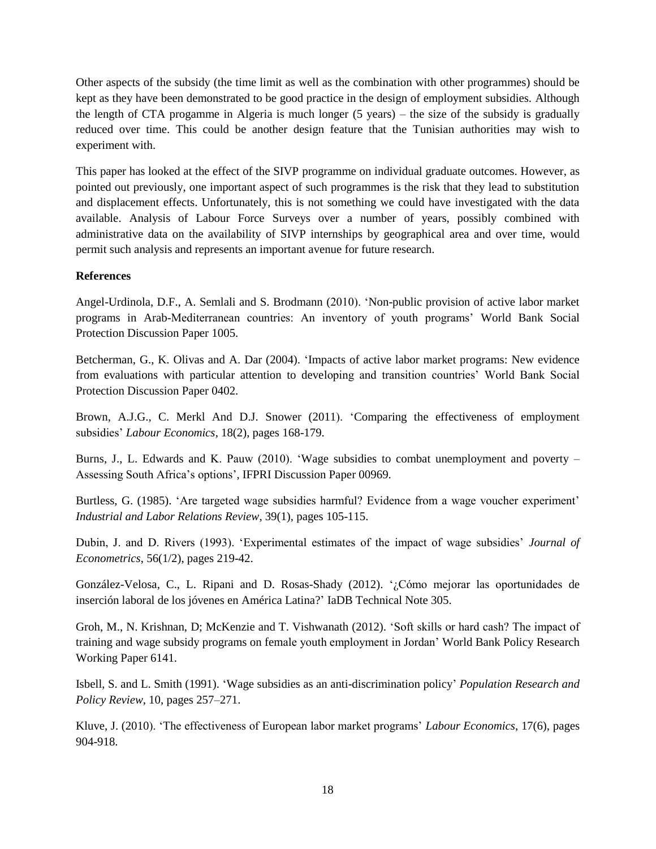Other aspects of the subsidy (the time limit as well as the combination with other programmes) should be kept as they have been demonstrated to be good practice in the design of employment subsidies. Although the length of CTA progamme in Algeria is much longer (5 years) – the size of the subsidy is gradually reduced over time. This could be another design feature that the Tunisian authorities may wish to experiment with.

This paper has looked at the effect of the SIVP programme on individual graduate outcomes. However, as pointed out previously, one important aspect of such programmes is the risk that they lead to substitution and displacement effects. Unfortunately, this is not something we could have investigated with the data available. Analysis of Labour Force Surveys over a number of years, possibly combined with administrative data on the availability of SIVP internships by geographical area and over time, would permit such analysis and represents an important avenue for future research.

#### **References**

Angel-Urdinola, D.F., A. Semlali and S. Brodmann (2010). 'Non-public provision of active labor market programs in Arab-Mediterranean countries: An inventory of youth programs' World Bank Social Protection Discussion Paper 1005.

Betcherman, G., K. Olivas and A. Dar (2004). 'Impacts of active labor market programs: New evidence from evaluations with particular attention to developing and transition countries' World Bank Social Protection Discussion Paper 0402.

Brown, A.J.G., C. Merkl And D.J. Snower (2011). 'Comparing the effectiveness of employment subsidies' *Labour Economics*, 18(2), pages 168-179.

Burns, J., L. Edwards and K. Pauw (2010). 'Wage subsidies to combat unemployment and poverty – Assessing South Africa's options', IFPRI Discussion Paper 00969.

Burtless, G. (1985). 'Are targeted wage subsidies harmful? Evidence from a wage voucher experiment' *Industrial and Labor Relations Review*, 39(1), pages 105-115.

Dubin, J. and D. Rivers (1993). 'Experimental estimates of the impact of wage subsidies' *Journal of Econometrics*, 56(1/2), pages 219-42.

González-Velosa, C., L. Ripani and D. Rosas-Shady (2012). '¿Cómo mejorar las oportunidades de inserción laboral de los jóvenes en América Latina?' IaDB Technical Note 305.

Groh, M., N. Krishnan, D; McKenzie and T. Vishwanath (2012). 'Soft skills or hard cash? The impact of training and wage subsidy programs on female youth employment in Jordan' World Bank Policy Research Working Paper 6141.

Isbell, S. and L. Smith (1991). 'Wage subsidies as an anti-discrimination policy' *Population Research and Policy Review*, 10, pages 257–271.

Kluve, J. (2010). 'The effectiveness of European labor market programs' *Labour Economics*, 17(6), pages 904-918.